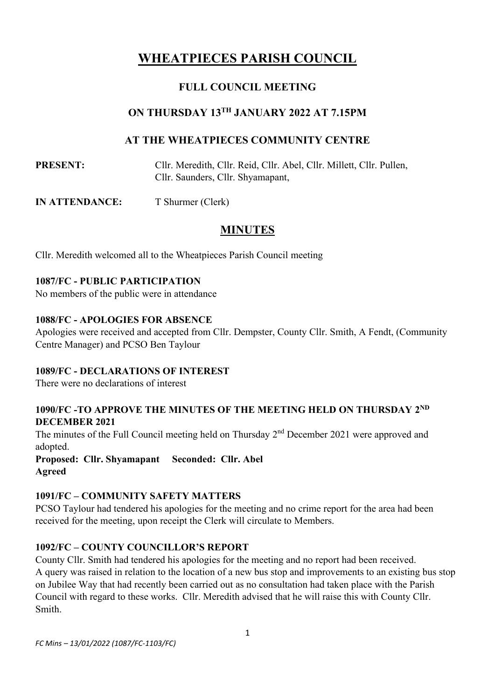# **WHEATPIECES PARISH COUNCIL**

## **FULL COUNCIL MEETING**

## **ON THURSDAY 13TH JANUARY 2022 AT 7.15PM**

## **AT THE WHEATPIECES COMMUNITY CENTRE**

**PRESENT:** Cllr. Meredith, Cllr. Reid, Cllr. Abel, Cllr. Millett, Cllr. Pullen, Cllr. Saunders, Cllr. Shyamapant,

**IN ATTENDANCE:** T Shurmer (Clerk)

## **MINUTES**

Cllr. Meredith welcomed all to the Wheatpieces Parish Council meeting

#### **1087/FC - PUBLIC PARTICIPATION**

No members of the public were in attendance

#### **1088/FC - APOLOGIES FOR ABSENCE**

Apologies were received and accepted from Cllr. Dempster, County Cllr. Smith, A Fendt, (Community Centre Manager) and PCSO Ben Taylour

#### **1089/FC - DECLARATIONS OF INTEREST**

There were no declarations of interest

#### 1090/FC -TO APPROVE THE MINUTES OF THE MEETING HELD ON THURSDAY 2<sup>ND</sup> **DECEMBER 2021**

The minutes of the Full Council meeting held on Thursday 2<sup>nd</sup> December 2021 were approved and adopted.

**Proposed: Cllr. Shyamapant Seconded: Cllr. Abel Agreed**

#### **1091/FC – COMMUNITY SAFETY MATTERS**

PCSO Taylour had tendered his apologies for the meeting and no crime report for the area had been received for the meeting, upon receipt the Clerk will circulate to Members.

#### **1092/FC – COUNTY COUNCILLOR'S REPORT**

County Cllr. Smith had tendered his apologies for the meeting and no report had been received. A query was raised in relation to the location of a new bus stop and improvements to an existing bus stop on Jubilee Way that had recently been carried out as no consultation had taken place with the Parish Council with regard to these works. Cllr. Meredith advised that he will raise this with County Cllr. Smith.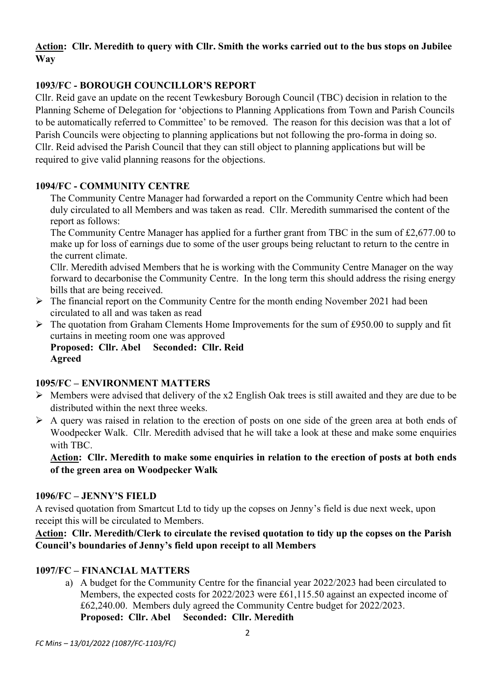## **Action: Cllr. Meredith to query with Cllr. Smith the works carried out to the bus stops on Jubilee Way**

## **1093/FC - BOROUGH COUNCILLOR'S REPORT**

Cllr. Reid gave an update on the recent Tewkesbury Borough Council (TBC) decision in relation to the Planning Scheme of Delegation for 'objections to Planning Applications from Town and Parish Councils to be automatically referred to Committee' to be removed. The reason for this decision was that a lot of Parish Councils were objecting to planning applications but not following the pro-forma in doing so. Cllr. Reid advised the Parish Council that they can still object to planning applications but will be required to give valid planning reasons for the objections.

#### **1094/FC - COMMUNITY CENTRE**

The Community Centre Manager had forwarded a report on the Community Centre which had been duly circulated to all Members and was taken as read. Cllr. Meredith summarised the content of the report as follows:

The Community Centre Manager has applied for a further grant from TBC in the sum of £2,677.00 to make up for loss of earnings due to some of the user groups being reluctant to return to the centre in the current climate.

Cllr. Meredith advised Members that he is working with the Community Centre Manager on the way forward to decarbonise the Community Centre. In the long term this should address the rising energy bills that are being received.

- $\triangleright$  The financial report on the Community Centre for the month ending November 2021 had been circulated to all and was taken as read
- $\triangleright$  The quotation from Graham Clements Home Improvements for the sum of £950.00 to supply and fit curtains in meeting room one was approved

**Proposed: Cllr. Abel Seconded: Cllr. Reid Agreed**

#### **1095/FC – ENVIRONMENT MATTERS**

- $\triangleright$  Members were advised that delivery of the x2 English Oak trees is still awaited and they are due to be distributed within the next three weeks.
- ➢ A query was raised in relation to the erection of posts on one side of the green area at both ends of Woodpecker Walk. Cllr. Meredith advised that he will take a look at these and make some enquiries with TBC.

#### **Action: Cllr. Meredith to make some enquiries in relation to the erection of posts at both ends of the green area on Woodpecker Walk**

#### **1096/FC – JENNY'S FIELD**

A revised quotation from Smartcut Ltd to tidy up the copses on Jenny's field is due next week, upon receipt this will be circulated to Members.

#### **Action: Cllr. Meredith/Clerk to circulate the revised quotation to tidy up the copses on the Parish Council's boundaries of Jenny's field upon receipt to all Members**

#### **1097/FC – FINANCIAL MATTERS**

a) A budget for the Community Centre for the financial year 2022/2023 had been circulated to Members, the expected costs for 2022/2023 were £61,115.50 against an expected income of £62,240.00. Members duly agreed the Community Centre budget for 2022/2023. **Proposed: Cllr. Abel Seconded: Cllr. Meredith**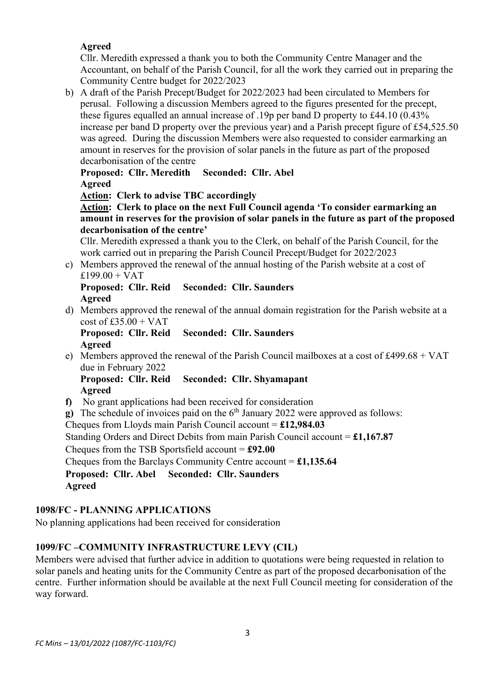#### **Agreed**

Cllr. Meredith expressed a thank you to both the Community Centre Manager and the Accountant, on behalf of the Parish Council, for all the work they carried out in preparing the Community Centre budget for 2022/2023

b) A draft of the Parish Precept/Budget for 2022/2023 had been circulated to Members for perusal. Following a discussion Members agreed to the figures presented for the precept, these figures equalled an annual increase of .19p per band D property to £44.10 (0.43% increase per band D property over the previous year) and a Parish precept figure of £54,525.50 was agreed. During the discussion Members were also requested to consider earmarking an amount in reserves for the provision of solar panels in the future as part of the proposed decarbonisation of the centre

**Proposed: Cllr. Meredith Seconded: Cllr. Abel Agreed**

**Action: Clerk to advise TBC accordingly**

**Action: Clerk to place on the next Full Council agenda 'To consider earmarking an amount in reserves for the provision of solar panels in the future as part of the proposed decarbonisation of the centre'**

Cllr. Meredith expressed a thank you to the Clerk, on behalf of the Parish Council, for the work carried out in preparing the Parish Council Precept/Budget for 2022/2023

c) Members approved the renewal of the annual hosting of the Parish website at a cost of  $£199.00 + VAT$ 

#### **Proposed: Cllr. Reid Seconded: Cllr. Saunders Agreed**

d) Members approved the renewal of the annual domain registration for the Parish website at a  $\cos t$  of £35.00 + VAT

**Proposed: Cllr. Reid Seconded: Cllr. Saunders Agreed**

e) Members approved the renewal of the Parish Council mailboxes at a cost of £499.68 + VAT due in February 2022

**Proposed: Cllr. Reid Seconded: Cllr. Shyamapant Agreed**

- **f)** No grant applications had been received for consideration
- **g**) The schedule of invoices paid on the 6<sup>th</sup> January 2022 were approved as follows:

Cheques from Lloyds main Parish Council account = **£12,984.03**

Standing Orders and Direct Debits from main Parish Council account = **£1,167.87**

Cheques from the TSB Sportsfield account = **£92.00**

Cheques from the Barclays Community Centre account = **£1,135.64**

**Proposed: Cllr. Abel Seconded: Cllr. Saunders Agreed**

## **1098/FC - PLANNING APPLICATIONS**

No planning applications had been received for consideration

## **1099/FC –COMMUNITY INFRASTRUCTURE LEVY (CIL)**

Members were advised that further advice in addition to quotations were being requested in relation to solar panels and heating units for the Community Centre as part of the proposed decarbonisation of the centre. Further information should be available at the next Full Council meeting for consideration of the way forward.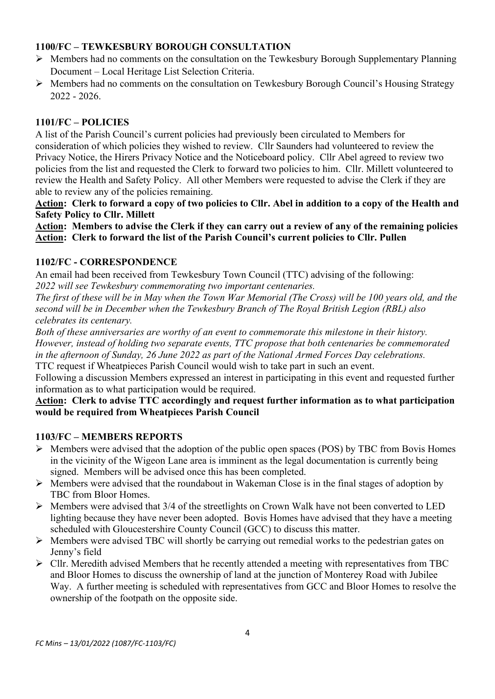## **1100/FC – TEWKESBURY BOROUGH CONSULTATION**

- ➢ Members had no comments on the consultation on the Tewkesbury Borough Supplementary Planning Document – Local Heritage List Selection Criteria.
- ➢ Members had no comments on the consultation on Tewkesbury Borough Council's Housing Strategy 2022 - 2026.

#### **1101/FC – POLICIES**

A list of the Parish Council's current policies had previously been circulated to Members for consideration of which policies they wished to review. Cllr Saunders had volunteered to review the Privacy Notice, the Hirers Privacy Notice and the Noticeboard policy. Cllr Abel agreed to review two policies from the list and requested the Clerk to forward two policies to him. Cllr. Millett volunteered to review the Health and Safety Policy. All other Members were requested to advise the Clerk if they are able to review any of the policies remaining.

**Action: Clerk to forward a copy of two policies to Cllr. Abel in addition to a copy of the Health and Safety Policy to Cllr. Millett**

**Action: Members to advise the Clerk if they can carry out a review of any of the remaining policies Action: Clerk to forward the list of the Parish Council's current policies to Cllr. Pullen**

#### **1102/FC - CORRESPONDENCE**

An email had been received from Tewkesbury Town Council (TTC) advising of the following: *2022 will see Tewkesbury commemorating two important centenaries.*

*The first of these will be in May when the Town War Memorial (The Cross) will be 100 years old, and the second will be in December when the Tewkesbury Branch of The Royal British Legion (RBL) also celebrates its centenary.*

*Both of these anniversaries are worthy of an event to commemorate this milestone in their history. However, instead of holding two separate events, TTC propose that both centenaries be commemorated in the afternoon of Sunday, 26 June 2022 as part of the National Armed Forces Day celebrations.* TTC request if Wheatpieces Parish Council would wish to take part in such an event.

Following a discussion Members expressed an interest in participating in this event and requested further information as to what participation would be required.

#### **Action: Clerk to advise TTC accordingly and request further information as to what participation would be required from Wheatpieces Parish Council**

#### **1103/FC – MEMBERS REPORTS**

- ➢ Members were advised that the adoption of the public open spaces (POS) by TBC from Bovis Homes in the vicinity of the Wigeon Lane area is imminent as the legal documentation is currently being signed. Members will be advised once this has been completed.
- ➢ Members were advised that the roundabout in Wakeman Close is in the final stages of adoption by TBC from Bloor Homes.
- ➢ Members were advised that 3/4 of the streetlights on Crown Walk have not been converted to LED lighting because they have never been adopted. Bovis Homes have advised that they have a meeting scheduled with Gloucestershire County Council (GCC) to discuss this matter.
- ➢ Members were advised TBC will shortly be carrying out remedial works to the pedestrian gates on Jenny's field
- ➢ Cllr. Meredith advised Members that he recently attended a meeting with representatives from TBC and Bloor Homes to discuss the ownership of land at the junction of Monterey Road with Jubilee Way. A further meeting is scheduled with representatives from GCC and Bloor Homes to resolve the ownership of the footpath on the opposite side.